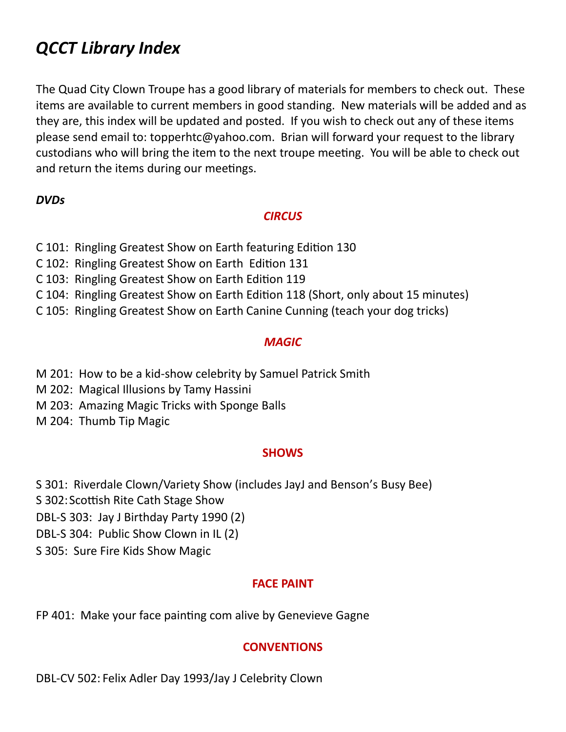# *QCCT Library Index*

The Quad City Clown Troupe has a good library of materials for members to check out. These items are available to current members in good standing. New materials will be added and as they are, this index will be updated and posted. If you wish to check out any of these items please send email to: topperhtc@yahoo.com. Brian will forward your request to the library custodians who will bring the item to the next troupe meeting. You will be able to check out and return the items during our meetings.

## *DVDs*

#### *CIRCUS*

- C 101: Ringling Greatest Show on Earth featuring Edition 130
- C 102: Ringling Greatest Show on Earth Edition 131
- C 103: Ringling Greatest Show on Earth Edition 119
- C 104: Ringling Greatest Show on Earth Edition 118 (Short, only about 15 minutes)
- C 105: Ringling Greatest Show on Earth Canine Cunning (teach your dog tricks)

## *MAGIC*

- M 201: How to be a kid-show celebrity by Samuel Patrick Smith
- M 202: Magical Illusions by Tamy Hassini
- M 203: Amazing Magic Tricks with Sponge Balls
- M 204: Thumb Tip Magic

#### **SHOWS**

- S 301: Riverdale Clown/Variety Show (includes JayJ and Benson's Busy Bee)
- S 302: Scottish Rite Cath Stage Show
- DBL-S 303: Jay J Birthday Party 1990 (2)
- DBL-S 304: Public Show Clown in IL (2)
- S 305: Sure Fire Kids Show Magic

#### **FACE PAINT**

FP 401: Make your face painting com alive by Genevieve Gagne

# **CONVENTIONS**

DBL-CV 502: Felix Adler Day 1993/Jay J Celebrity Clown